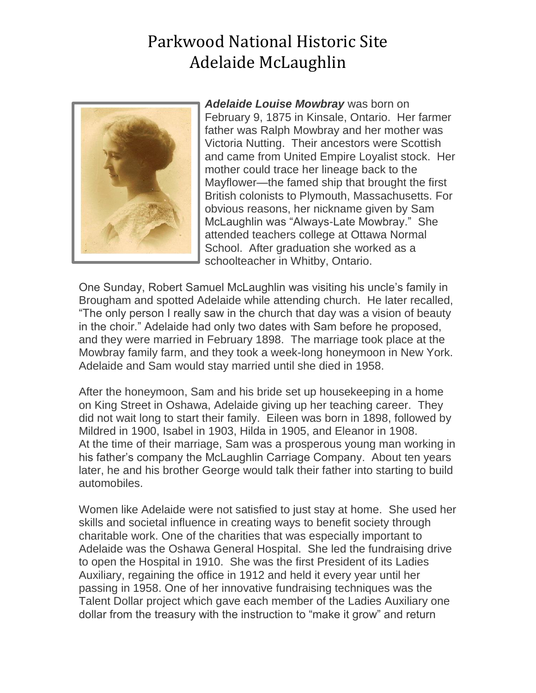## Parkwood National Historic Site Adelaide McLaughlin



*Adelaide Louise Mowbray* was born on February 9, 1875 in Kinsale, Ontario. Her farmer father was Ralph Mowbray and her mother was Victoria Nutting. Their ancestors were Scottish and came from United Empire Loyalist stock. Her mother could trace her lineage back to the Mayflower—the famed ship that brought the first British colonists to Plymouth, Massachusetts. For obvious reasons, her nickname given by Sam McLaughlin was "Always-Late Mowbray." She attended teachers college at Ottawa Normal School. After graduation she worked as a schoolteacher in Whitby, Ontario.

One Sunday, Robert Samuel McLaughlin was visiting his uncle's family in Brougham and spotted Adelaide while attending church. He later recalled, "The only person I really saw in the church that day was a vision of beauty in the choir." Adelaide had only two dates with Sam before he proposed, and they were married in February 1898. The marriage took place at the Mowbray family farm, and they took a week-long honeymoon in New York. Adelaide and Sam would stay married until she died in 1958.

After the honeymoon, Sam and his bride set up housekeeping in a home on King Street in Oshawa, Adelaide giving up her teaching career. They did not wait long to start their family. Eileen was born in 1898, followed by Mildred in 1900, Isabel in 1903, Hilda in 1905, and Eleanor in 1908. At the time of their marriage, Sam was a prosperous young man working in his father's company the McLaughlin Carriage Company. About ten years later, he and his brother George would talk their father into starting to build automobiles.

Women like Adelaide were not satisfied to just stay at home. She used her skills and societal influence in creating ways to benefit society through charitable work. One of the charities that was especially important to Adelaide was the Oshawa General Hospital. She led the fundraising drive to open the Hospital in 1910. She was the first President of its Ladies Auxiliary, regaining the office in 1912 and held it every year until her passing in 1958. One of her innovative fundraising techniques was the Talent Dollar project which gave each member of the Ladies Auxiliary one dollar from the treasury with the instruction to "make it grow" and return